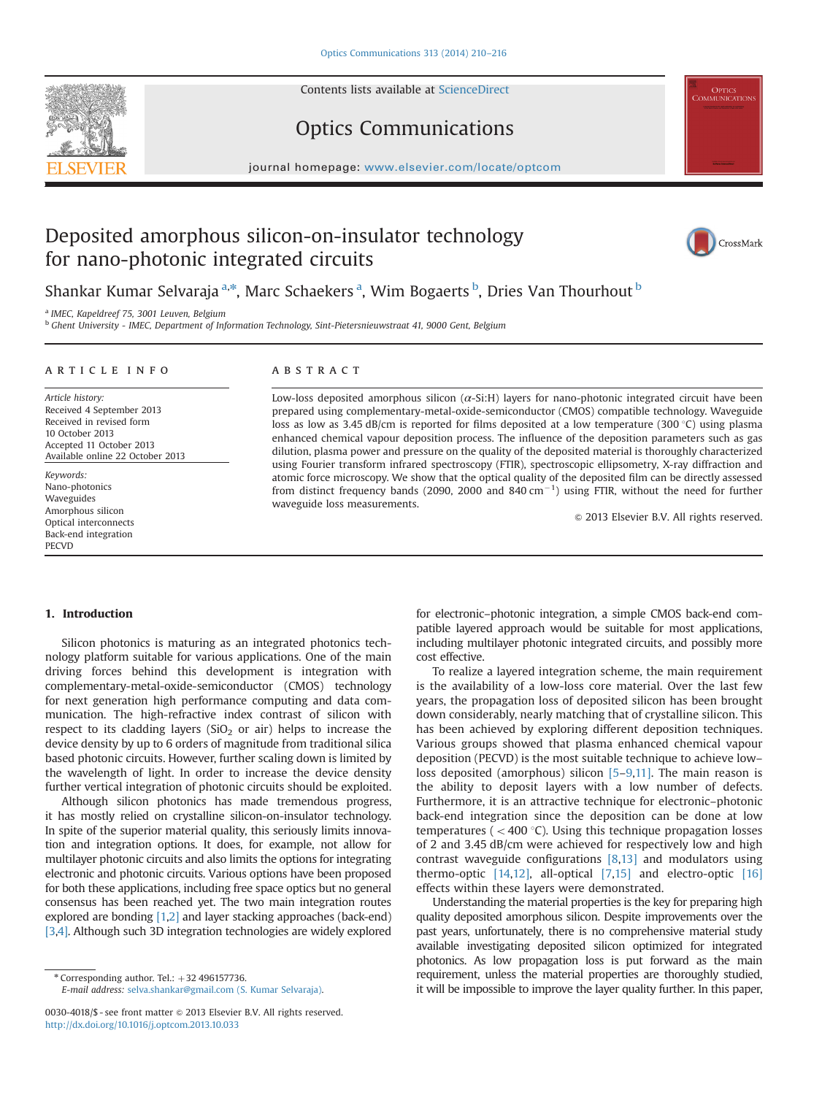<span id="page-0-0"></span>

Contents lists available at [ScienceDirect](www.sciencedirect.com/science/journal/00304018)

# Optics Communications

 $j$ 

# Deposited amorphous silicon-on-insulator technology for nano-photonic integrated circuits



<sup>EL</sup> OPTICS<br>COMMUNICATION

Shankar Kumar Selvaraja <sup>a,\*</sup>, Marc Schaekers <sup>a</sup>, Wim Bogaerts <sup>b</sup>, Dries Van Thourhout <sup>b</sup>

<sup>a</sup> IMEC, Kapeldreef 75, 3001 Leuven, Belgium

<sup>b</sup> Ghent University - IMEC, Department of Information Technology, Sint-Pietersnieuwstraat 41, 9000 Gent, Belgium

# article info

Article history: Received 4 September 2013 Received in revised form 10 October 2013 Accepted 11 October 2013 Available online 22 October 2013

Keywords: Nano-photonics Waveguides Amorphous silicon Optical interconnects Back-end integration **PECVD** 

# **ABSTRACT**

Low-loss deposited amorphous silicon  $(\alpha$ -Si:H) layers for nano-photonic integrated circuit have been prepared using complementary-metal-oxide-semiconductor (CMOS) compatible technology. Waveguide loss as low as 3.45 dB/cm is reported for films deposited at a low temperature (300 °C) using plasma enhanced chemical vapour deposition process. The influence of the deposition parameters such as gas dilution, plasma power and pressure on the quality of the deposited material is thoroughly characterized using Fourier transform infrared spectroscopy (FTIR), spectroscopic ellipsometry, X-ray diffraction and atomic force microscopy. We show that the optical quality of the deposited film can be directly assessed from distinct frequency bands (2090, 2000 and 840  $\text{cm}^{-1}$ ) using FTIR, without the need for further waveguide loss measurements.

 $©$  2013 Elsevier B.V. All rights reserved.

# 1. Introduction

Silicon photonics is maturing as an integrated photonics technology platform suitable for various applications. One of the main driving forces behind this development is integration with complementary-metal-oxide-semiconductor (CMOS) technology for next generation high performance computing and data communication. The high-refractive index contrast of silicon with respect to its cladding layers ( $SiO<sub>2</sub>$  or air) helps to increase the device density by up to 6 orders of magnitude from traditional silica based photonic circuits. However, further scaling down is limited by the wavelength of light. In order to increase the device density further vertical integration of photonic circuits should be exploited.

Although silicon photonics has made tremendous progress, it has mostly relied on crystalline silicon-on-insulator technology. In spite of the superior material quality, this seriously limits innovation and integration options. It does, for example, not allow for multilayer photonic circuits and also limits the options for integrating electronic and photonic circuits. Various options have been proposed for both these applications, including free space optics but no general consensus has been reached yet. The two main integration routes explored are bonding [\[1,2\]](#page-6-0) and layer stacking approaches (back-end) [\[3](#page-6-0),[4\]](#page-6-0). Although such 3D integration technologies are widely explored for electronic–photonic integration, a simple CMOS back-end compatible layered approach would be suitable for most applications, including multilayer photonic integrated circuits, and possibly more cost effective.

To realize a layered integration scheme, the main requirement is the availability of a low-loss core material. Over the last few years, the propagation loss of deposited silicon has been brought down considerably, nearly matching that of crystalline silicon. This has been achieved by exploring different deposition techniques. Various groups showed that plasma enhanced chemical vapour deposition (PECVD) is the most suitable technique to achieve low– loss deposited (amorphous) silicon [\[5](#page-6-0)–[9,11\].](#page-6-0) The main reason is the ability to deposit layers with a low number of defects. Furthermore, it is an attractive technique for electronic–photonic back-end integration since the deposition can be done at low temperatures ( $<$  400 °C). Using this technique propagation losses of 2 and 3.45 dB/cm were achieved for respectively low and high contrast waveguide configurations [\[8](#page-6-0),[13\]](#page-6-0) and modulators using thermo-optic [\[14,12\],](#page-6-0) all-optical [\[7,15\]](#page-6-0) and electro-optic [\[16\]](#page-6-0) effects within these layers were demonstrated.

Understanding the material properties is the key for preparing high quality deposited amorphous silicon. Despite improvements over the past years, unfortunately, there is no comprehensive material study available investigating deposited silicon optimized for integrated photonics. As low propagation loss is put forward as the main requirement, unless the material properties are thoroughly studied, it will be impossible to improve the layer quality further. In this paper,

 $*$  Corresponding author. Tel.:  $+32$  496157736.

E-mail address: [selva.shankar@gmail.com \(S. Kumar Selvaraja\)](mailto:selva.shankar@gmail.com).

<sup>0030-4018/\$ -</sup> see front matter  $\odot$  2013 Elsevier B.V. All rights reserved. <http://dx.doi.org/10.1016/j.optcom.2013.10.033>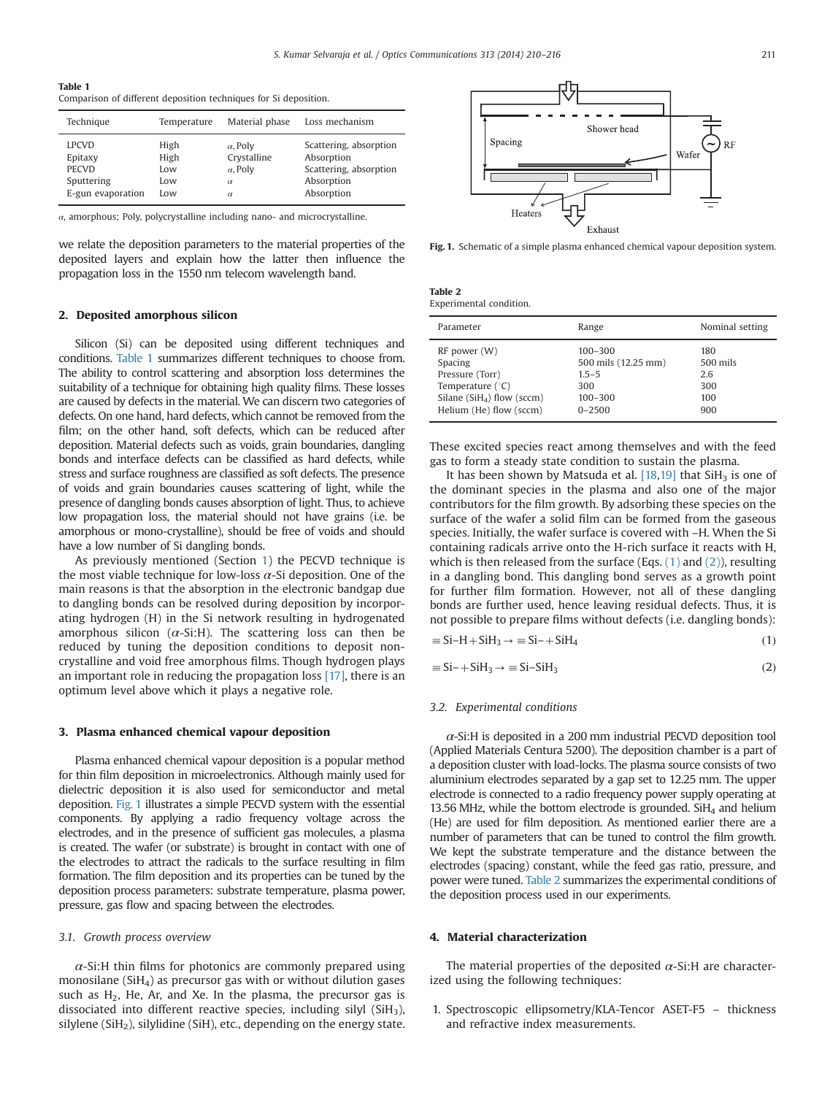<span id="page-1-0"></span>Table 1

Comparison of different deposition techniques for Si deposition.

| Technique         | Temperature | Material phase  | Loss mechanism         |
|-------------------|-------------|-----------------|------------------------|
| <b>LPCVD</b>      | High        | $\alpha$ , Poly | Scattering, absorption |
| Epitaxy           | High        | Crystalline     | Absorption             |
| <b>PECVD</b>      | Low         | $\alpha$ , Poly | Scattering, absorption |
| Sputtering        | Low         | $\alpha$        | Absorption             |
| E-gun evaporation | Low         | $\alpha$        | Absorption             |

α, amorphous; Poly, polycrystalline including nano- and microcrystalline.

we relate the deposition parameters to the material properties of the deposited layers and explain how the latter then influence the propagation loss in the 1550 nm telecom wavelength band.

# 2. Deposited amorphous silicon

Silicon (Si) can be deposited using different techniques and conditions. Table 1 summarizes different techniques to choose from. The ability to control scattering and absorption loss determines the suitability of a technique for obtaining high quality films. These losses are caused by defects in the material. We can discern two categories of defects. On one hand, hard defects, which cannot be removed from the film; on the other hand, soft defects, which can be reduced after deposition. Material defects such as voids, grain boundaries, dangling bonds and interface defects can be classified as hard defects, while stress and surface roughness are classified as soft defects. The presence of voids and grain boundaries causes scattering of light, while the presence of dangling bonds causes absorption of light. Thus, to achieve low propagation loss, the material should not have grains (i.e. be amorphous or mono-crystalline), should be free of voids and should have a low number of Si dangling bonds.

As previously mentioned (Section [1](#page-0-0)) the PECVD technique is the most viable technique for low-loss  $\alpha$ -Si deposition. One of the main reasons is that the absorption in the electronic bandgap due to dangling bonds can be resolved during deposition by incorporating hydrogen (H) in the Si network resulting in hydrogenated amorphous silicon ( $\alpha$ -Si:H). The scattering loss can then be reduced by tuning the deposition conditions to deposit noncrystalline and void free amorphous films. Though hydrogen plays an important role in reducing the propagation loss [\[17\],](#page-6-0) there is an optimum level above which it plays a negative role.

## 3. Plasma enhanced chemical vapour deposition

Plasma enhanced chemical vapour deposition is a popular method for thin film deposition in microelectronics. Although mainly used for dielectric deposition it is also used for semiconductor and metal deposition. Fig. 1 illustrates a simple PECVD system with the essential components. By applying a radio frequency voltage across the electrodes, and in the presence of sufficient gas molecules, a plasma is created. The wafer (or substrate) is brought in contact with one of the electrodes to attract the radicals to the surface resulting in film formation. The film deposition and its properties can be tuned by the deposition process parameters: substrate temperature, plasma power, pressure, gas flow and spacing between the electrodes.

# 3.1. Growth process overview

 $\alpha$ -Si:H thin films for photonics are commonly prepared using monosilane ( $SiH<sub>4</sub>$ ) as precursor gas with or without dilution gases such as  $H_2$ , He, Ar, and Xe. In the plasma, the precursor gas is dissociated into different reactive species, including silyl  $(SiH<sub>3</sub>)$ , silylene (SiH<sub>2</sub>), silylidine (SiH), etc., depending on the energy state.



Fig. 1. Schematic of a simple plasma enhanced chemical vapour deposition system.

| <b>Table 2</b>          |  |
|-------------------------|--|
| Experimental condition. |  |

| Parameter                                                                                                                           | Range                                                                               | Nominal setting                             |
|-------------------------------------------------------------------------------------------------------------------------------------|-------------------------------------------------------------------------------------|---------------------------------------------|
| RF power (W)<br>Spacing<br>Pressure (Torr)<br>Temperature $(^{\circ}C)$<br>Silane ( $SiH4$ ) flow (sccm)<br>Helium (He) flow (sccm) | $100 - 300$<br>500 mils (12.25 mm)<br>$1.5 - 5$<br>300<br>$100 - 300$<br>$0 - 2500$ | 180<br>500 mils<br>2.6<br>300<br>100<br>900 |
|                                                                                                                                     |                                                                                     |                                             |

These excited species react among themselves and with the feed gas to form a steady state condition to sustain the plasma.

It has been shown by Matsuda et al.  $[18,19]$  that  $SiH<sub>3</sub>$  is one of the dominant species in the plasma and also one of the major contributors for the film growth. By adsorbing these species on the surface of the wafer a solid film can be formed from the gaseous species. Initially, the wafer surface is covered with –H. When the Si containing radicals arrive onto the H-rich surface it reacts with H, which is then released from the surface (Eqs.  $(1)$  and  $(2)$ ), resulting in a dangling bond. This dangling bond serves as a growth point for further film formation. However, not all of these dangling bonds are further used, hence leaving residual defects. Thus, it is not possible to prepare films without defects (i.e. dangling bonds):

$$
\equiv Si - H + SiH_3 \rightarrow \equiv Si - + SiH_4 \tag{1}
$$

$$
\equiv Si - + SiH_3 \rightarrow \equiv Si - SiH_3 \tag{2}
$$

## 3.2. Experimental conditions

 $\alpha$ -Si:H is deposited in a 200 mm industrial PECVD deposition tool (Applied Materials Centura 5200). The deposition chamber is a part of a deposition cluster with load-locks. The plasma source consists of two aluminium electrodes separated by a gap set to 12.25 mm. The upper electrode is connected to a radio frequency power supply operating at 13.56 MHz, while the bottom electrode is grounded.  $SiH<sub>4</sub>$  and helium (He) are used for film deposition. As mentioned earlier there are a number of parameters that can be tuned to control the film growth. We kept the substrate temperature and the distance between the electrodes (spacing) constant, while the feed gas ratio, pressure, and power were tuned. Table 2 summarizes the experimental conditions of the deposition process used in our experiments.

# 4. Material characterization

The material properties of the deposited  $\alpha$ -Si:H are characterized using the following techniques:

1. Spectroscopic ellipsometry/KLA-Tencor ASET-F5 – thickness and refractive index measurements.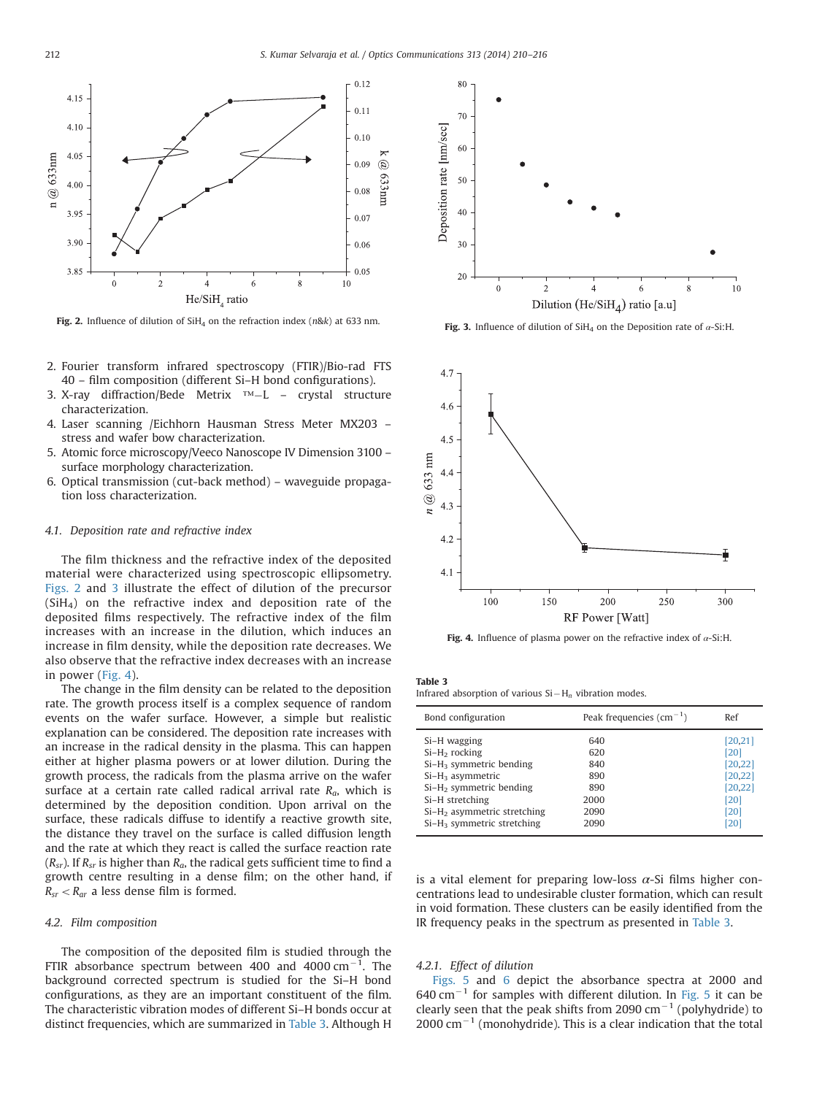<span id="page-2-0"></span>

Fig. 2. Influence of dilution of SiH<sub>4</sub> on the refraction index (n&k) at 633 nm. Fig. 3. Influence of dilution of SiH<sub>4</sub> on the Deposition rate of  $\alpha$ -Si:H.

- 2. Fourier transform infrared spectroscopy (FTIR)/Bio-rad FTS 40 – film composition (different Si–H bond configurations).
- 3. X-ray diffraction/Bede Metrix ™-L crystal structure characterization.
- 4. Laser scanning /Eichhorn Hausman Stress Meter MX203 stress and wafer bow characterization.
- 5. Atomic force microscopy/Veeco Nanoscope IV Dimension 3100 surface morphology characterization.
- 6. Optical transmission (cut-back method) waveguide propagation loss characterization.

### 4.1. Deposition rate and refractive index

The film thickness and the refractive index of the deposited material were characterized using spectroscopic ellipsometry. Figs. 2 and 3 illustrate the effect of dilution of the precursor  $(SiH<sub>4</sub>)$  on the refractive index and deposition rate of the deposited films respectively. The refractive index of the film increases with an increase in the dilution, which induces an increase in film density, while the deposition rate decreases. We also observe that the refractive index decreases with an increase in power (Fig. 4).

The change in the film density can be related to the deposition rate. The growth process itself is a complex sequence of random events on the wafer surface. However, a simple but realistic explanation can be considered. The deposition rate increases with an increase in the radical density in the plasma. This can happen either at higher plasma powers or at lower dilution. During the growth process, the radicals from the plasma arrive on the wafer surface at a certain rate called radical arrival rate  $R_a$ , which is determined by the deposition condition. Upon arrival on the surface, these radicals diffuse to identify a reactive growth site, the distance they travel on the surface is called diffusion length and the rate at which they react is called the surface reaction rate  $(R_{sr})$ . If  $R_{sr}$  is higher than  $R_a$ , the radical gets sufficient time to find a growth centre resulting in a dense film; on the other hand, if  $R_{sr} < R_{ar}$  a less dense film is formed.

## 4.2. Film composition

The composition of the deposited film is studied through the FTIR absorbance spectrum between 400 and 4000  $\text{cm}^{-1}$ . The background corrected spectrum is studied for the Si–H bond configurations, as they are an important constituent of the film. The characteristic vibration modes of different Si–H bonds occur at distinct frequencies, which are summarized in Table 3. Although H





Fig. 4. Influence of plasma power on the refractive index of  $\alpha$ -Si:H.

#### Table 3

Infrared absorption of various  $Si-H_n$  vibration modes.

| Bond configuration                      | Peak frequencies $\text{(cm}^{-1})$ | Ref      |
|-----------------------------------------|-------------------------------------|----------|
| Si-H wagging                            | 640                                 | [20, 21] |
| $Si-H2$ rocking                         | 620                                 | [20]     |
| $Si-H_3$ symmetric bending              | 840                                 | [20, 22] |
| $Si-H3$ asymmetric                      | 890                                 | [20, 22] |
| $Si-H2$ symmetric bending               | 890                                 | [20, 22] |
| Si-H stretching                         | 2000                                | [20]     |
| Si-H <sub>2</sub> asymmetric stretching | 2090                                | [20]     |
| $Si-H3$ symmetric stretching            | 2090                                | [20]     |
|                                         |                                     |          |

is a vital element for preparing low-loss  $\alpha$ -Si films higher concentrations lead to undesirable cluster formation, which can result in void formation. These clusters can be easily identified from the IR frequency peaks in the spectrum as presented in Table 3.

## 4.2.1. Effect of dilution

[Figs. 5](#page-3-0) and [6](#page-3-0) depict the absorbance spectra at 2000 and  $640 \text{ cm}^{-1}$  for samples with different dilution. In [Fig. 5](#page-3-0) it can be clearly seen that the peak shifts from 2090  $cm^{-1}$  (polyhydride) to  $2000$  cm<sup>-1</sup> (monohydride). This is a clear indication that the total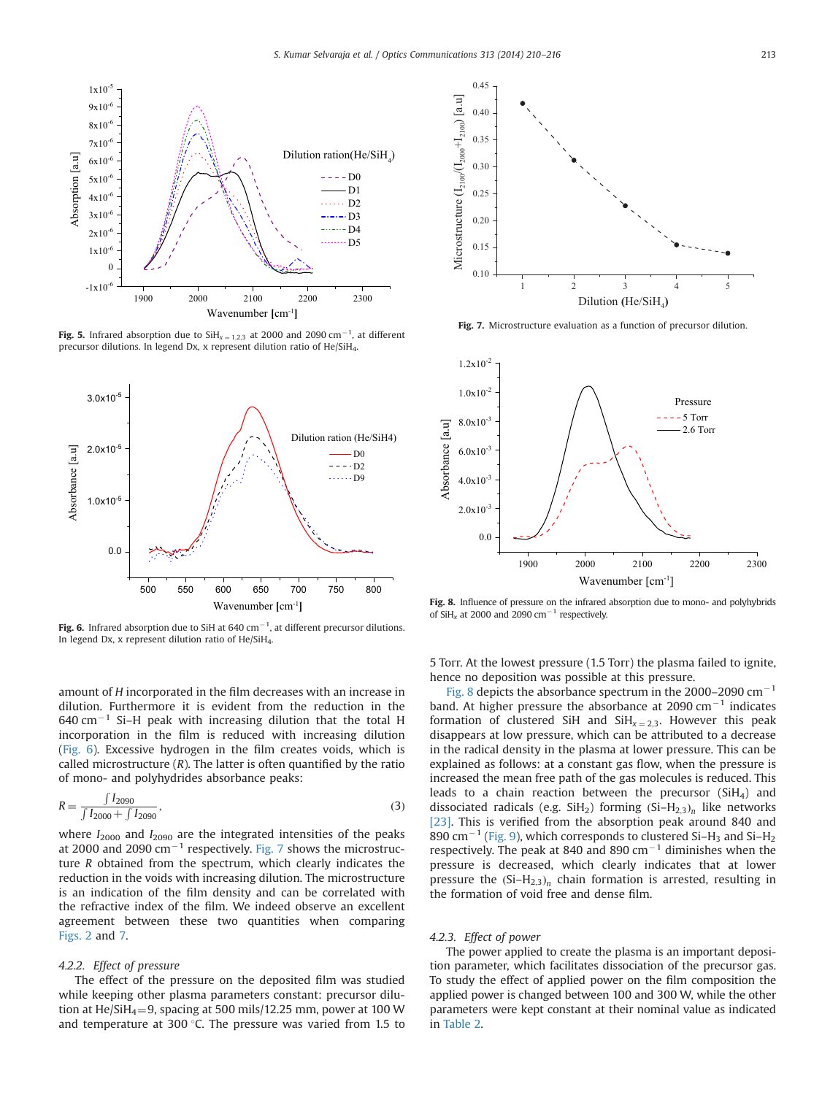<span id="page-3-0"></span>

**Fig. 5.** Infrared absorption due to  $SH_{x=1,2,3}$  at 2000 and 2090 cm<sup>-1</sup>, at different precursor dilutions. In legend Dx, x represent dilution ratio of He/SiH4.



Fig. 6. Infrared absorption due to SiH at 640 cm<sup>-1</sup>, at different precursor dilutions. In legend Dx, x represent dilution ratio of He/SiH4.

amount of H incorporated in the film decreases with an increase in dilution. Furthermore it is evident from the reduction in the  $640$  cm<sup>-1</sup> Si-H peak with increasing dilution that the total H incorporation in the film is reduced with increasing dilution (Fig. 6). Excessive hydrogen in the film creates voids, which is called microstructure  $(R)$ . The latter is often quantified by the ratio of mono- and polyhydrides absorbance peaks:

$$
R = \frac{\int I_{2090}}{\int I_{2000} + \int I_{2090}},\tag{3}
$$

where  $I_{2000}$  and  $I_{2090}$  are the integrated intensities of the peaks at 2000 and 2090  $\text{cm}^{-1}$  respectively. Fig. 7 shows the microstructure R obtained from the spectrum, which clearly indicates the reduction in the voids with increasing dilution. The microstructure is an indication of the film density and can be correlated with the refractive index of the film. We indeed observe an excellent agreement between these two quantities when comparing [Figs. 2](#page-2-0) and 7.

## 4.2.2. Effect of pressure

The effect of the pressure on the deposited film was studied while keeping other plasma parameters constant: precursor dilution at He/SiH<sub>4</sub>=9, spacing at 500 mils/12.25 mm, power at 100 W and temperature at 300  $\degree$ C. The pressure was varied from 1.5 to



Fig. 7. Microstructure evaluation as a function of precursor dilution.



Fig. 8. Influence of pressure on the infrared absorption due to mono- and polyhybrids of SiH<sub>x</sub> at 2000 and 2090 cm<sup>-1</sup> respectively.

5 Torr. At the lowest pressure (1.5 Torr) the plasma failed to ignite, hence no deposition was possible at this pressure.

Fig. 8 depicts the absorbance spectrum in the 2000–2090  $\text{cm}^{-1}$ band. At higher pressure the absorbance at 2090  $cm^{-1}$  indicates formation of clustered SiH and  $SiH_{x=2,3}$ . However this peak disappears at low pressure, which can be attributed to a decrease in the radical density in the plasma at lower pressure. This can be explained as follows: at a constant gas flow, when the pressure is increased the mean free path of the gas molecules is reduced. This leads to a chain reaction between the precursor (SiH4) and dissociated radicals (e.g. SiH<sub>2</sub>) forming  $(Si-H<sub>2,3</sub>)<sub>n</sub>$  like networks [\[23\].](#page-6-0) This is verified from the absorption peak around 840 and 890 cm<sup>-1</sup> [\(Fig. 9\)](#page-4-0), which corresponds to clustered Si-H<sub>3</sub> and Si-H<sub>2</sub> respectively. The peak at 840 and 890  $cm^{-1}$  diminishes when the pressure is decreased, which clearly indicates that at lower pressure the  $(Si-H_{2,3})$ <sub>n</sub> chain formation is arrested, resulting in the formation of void free and dense film.

## 4.2.3. Effect of power

The power applied to create the plasma is an important deposition parameter, which facilitates dissociation of the precursor gas. To study the effect of applied power on the film composition the applied power is changed between 100 and 300 W, while the other parameters were kept constant at their nominal value as indicated in [Table 2](#page-1-0).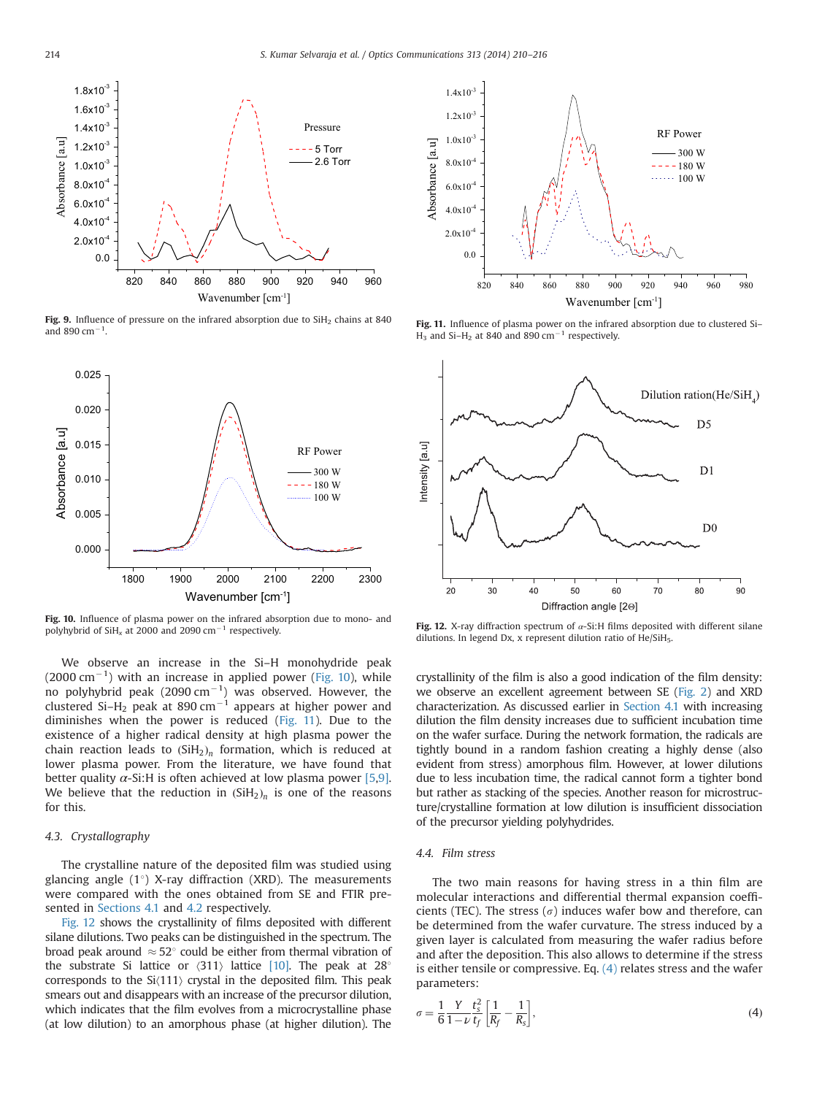<span id="page-4-0"></span>

Fig. 9. Influence of pressure on the infrared absorption due to  $SiH<sub>2</sub>$  chains at 840 and 890 cm $^{-1}$ .



Fig. 10. Influence of plasma power on the infrared absorption due to mono- and polyhybrid of SiH<sub>x</sub> at 2000 and 2090 cm<sup>-1</sup> respectively.

We observe an increase in the Si–H monohydride peak  $(2000 \text{ cm}^{-1})$  with an increase in applied power (Fig. 10), while no polyhybrid peak (2090 cm $^{-1}$ ) was observed. However, the clustered Si-H<sub>2</sub> peak at 890 cm<sup>-1</sup> appears at higher power and diminishes when the power is reduced (Fig. 11). Due to the existence of a higher radical density at high plasma power the chain reaction leads to  $(SiH_2)_n$  formation, which is reduced at lower plasma power. From the literature, we have found that better quality  $\alpha$ -Si:H is often achieved at low plasma power [\[5,9\].](#page-6-0) We believe that the reduction in  $(SiH_2)_n$  is one of the reasons for this.

# 4.3. Crystallography

The crystalline nature of the deposited film was studied using glancing angle  $(1^{\circ})$  X-ray diffraction (XRD). The measurements were compared with the ones obtained from SE and FTIR presented in [Sections 4.1](#page-2-0) and [4.2](#page-2-0) respectively.

Fig. 12 shows the crystallinity of films deposited with different silane dilutions. Two peaks can be distinguished in the spectrum. The broad peak around  $\approx$  52 $^{\circ}$  could be either from thermal vibration of the substrate Si lattice or  $\langle 311 \rangle$  lattice [\[10\]](#page-6-0). The peak at 28<sup>o</sup> corresponds to the  $Si(111)$  crystal in the deposited film. This peak smears out and disappears with an increase of the precursor dilution, which indicates that the film evolves from a microcrystalline phase (at low dilution) to an amorphous phase (at higher dilution). The



Fig. 11. Influence of plasma power on the infrared absorption due to clustered Si- $H_3$  and Si- $H_2$  at 840 and 890 cm<sup>-1</sup> respectively.



Fig. 12. X-ray diffraction spectrum of  $\alpha$ -Si:H films deposited with different silane dilutions. In legend Dx, x represent dilution ratio of He/SiH5.

crystallinity of the film is also a good indication of the film density: we observe an excellent agreement between SE ([Fig. 2](#page-2-0)) and XRD characterization. As discussed earlier in [Section 4.1](#page-2-0) with increasing dilution the film density increases due to sufficient incubation time on the wafer surface. During the network formation, the radicals are tightly bound in a random fashion creating a highly dense (also evident from stress) amorphous film. However, at lower dilutions due to less incubation time, the radical cannot form a tighter bond but rather as stacking of the species. Another reason for microstructure/crystalline formation at low dilution is insufficient dissociation of the precursor yielding polyhydrides.

## 4.4. Film stress

The two main reasons for having stress in a thin film are molecular interactions and differential thermal expansion coefficients (TEC). The stress ( $\sigma$ ) induces wafer bow and therefore, can be determined from the wafer curvature. The stress induced by a given layer is calculated from measuring the wafer radius before and after the deposition. This also allows to determine if the stress is either tensile or compressive. Eq.  $(4)$  relates stress and the wafer parameters:

$$
\sigma = \frac{1}{6} \frac{Y}{1 - \nu} \frac{t_s^2}{t_f} \left[ \frac{1}{R_f} - \frac{1}{R_s} \right],\tag{4}
$$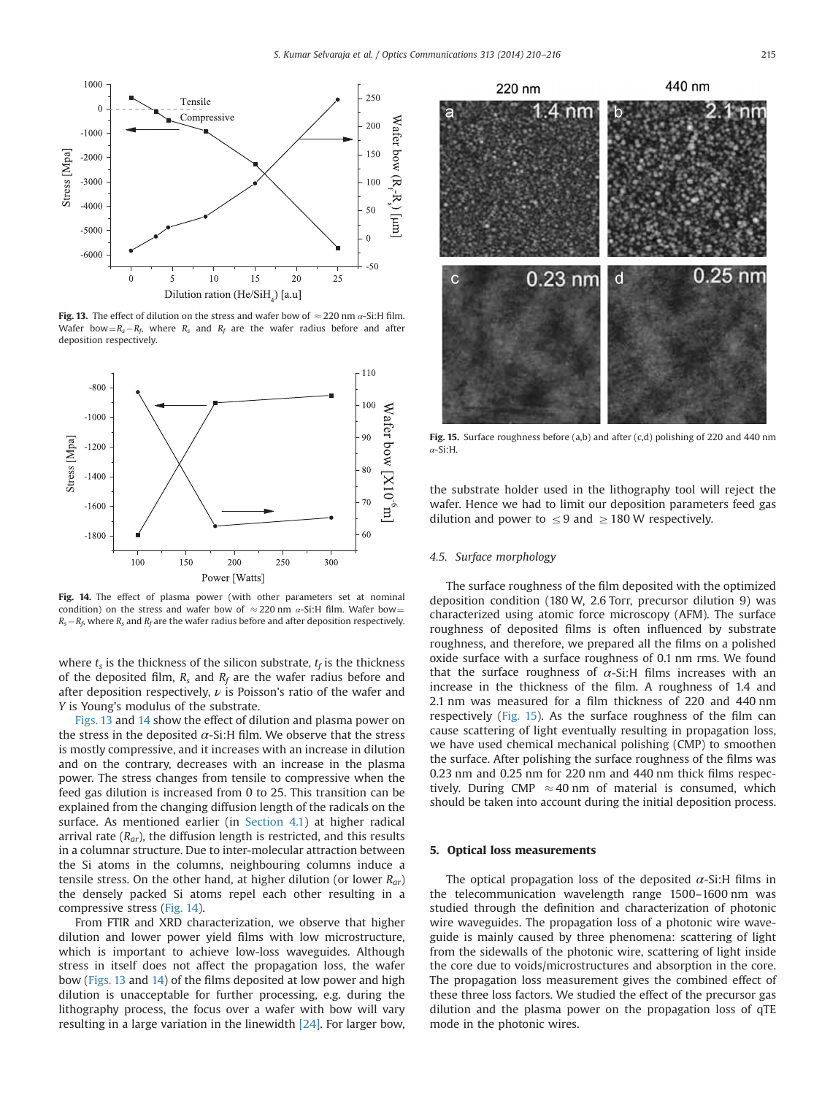

Fig. 13. The effect of dilution on the stress and wafer bow of  $\approx$  220 nm  $\alpha$ -Si:H film. Wafer bow =  $R_s - R_f$ , where  $R_s$  and  $R_f$  are the wafer radius before and after deposition respectively.



Fig. 14. The effect of plasma power (with other parameters set at nominal condition) on the stress and wafer bow of  $\approx$  220 nm  $\alpha$ -Si:H film. Wafer bow =  $R_s - R_f$ , where  $R_s$  and  $R_f$  are the wafer radius before and after deposition respectively.

where  $t_s$  is the thickness of the silicon substrate,  $t_f$  is the thickness of the deposited film,  $R_s$  and  $R_f$  are the wafer radius before and after deposition respectively,  $\nu$  is Poisson's ratio of the wafer and Y is Young's modulus of the substrate.

Figs. 13 and 14 show the effect of dilution and plasma power on the stress in the deposited  $\alpha$ -Si:H film. We observe that the stress is mostly compressive, and it increases with an increase in dilution and on the contrary, decreases with an increase in the plasma power. The stress changes from tensile to compressive when the feed gas dilution is increased from 0 to 25. This transition can be explained from the changing diffusion length of the radicals on the surface. As mentioned earlier (in [Section 4.1\)](#page-2-0) at higher radical arrival rate  $(R_{ar})$ , the diffusion length is restricted, and this results in a columnar structure. Due to inter-molecular attraction between the Si atoms in the columns, neighbouring columns induce a tensile stress. On the other hand, at higher dilution (or lower  $R_{ar}$ ) the densely packed Si atoms repel each other resulting in a compressive stress (Fig. 14).

From FTIR and XRD characterization, we observe that higher dilution and lower power yield films with low microstructure, which is important to achieve low-loss waveguides. Although stress in itself does not affect the propagation loss, the wafer bow (Figs. 13 and 14) of the films deposited at low power and high dilution is unacceptable for further processing, e.g. during the lithography process, the focus over a wafer with bow will vary resulting in a large variation in the linewidth [\[24\].](#page-6-0) For larger bow,



Fig. 15. Surface roughness before (a,b) and after  $(c,d)$  polishing of 220 and 440 nm α-Si:H.

the substrate holder used in the lithography tool will reject the wafer. Hence we had to limit our deposition parameters feed gas dilution and power to  $\leq$  9 and  $\geq$  180 W respectively.

# 4.5. Surface morphology

The surface roughness of the film deposited with the optimized deposition condition (180 W, 2.6 Torr, precursor dilution 9) was characterized using atomic force microscopy (AFM). The surface roughness of deposited films is often influenced by substrate roughness, and therefore, we prepared all the films on a polished oxide surface with a surface roughness of 0.1 nm rms. We found that the surface roughness of  $\alpha$ -Si:H films increases with an increase in the thickness of the film. A roughness of 1.4 and 2.1 nm was measured for a film thickness of 220 and 440 nm respectively (Fig. 15). As the surface roughness of the film can cause scattering of light eventually resulting in propagation loss, we have used chemical mechanical polishing (CMP) to smoothen the surface. After polishing the surface roughness of the films was 0.23 nm and 0.25 nm for 220 nm and 440 nm thick films respectively. During CMP  $\approx$  40 nm of material is consumed, which should be taken into account during the initial deposition process.

## 5. Optical loss measurements

The optical propagation loss of the deposited  $\alpha$ -Si:H films in the telecommunication wavelength range 1500–1600 nm was studied through the definition and characterization of photonic wire waveguides. The propagation loss of a photonic wire waveguide is mainly caused by three phenomena: scattering of light from the sidewalls of the photonic wire, scattering of light inside the core due to voids/microstructures and absorption in the core. The propagation loss measurement gives the combined effect of these three loss factors. We studied the effect of the precursor gas dilution and the plasma power on the propagation loss of qTE mode in the photonic wires.